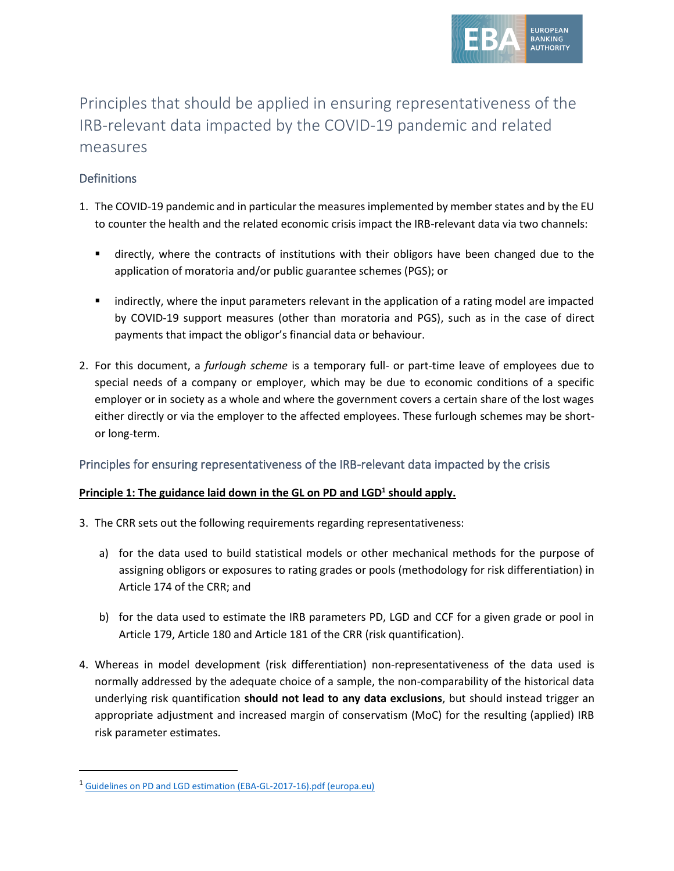

# Principles that should be applied in ensuring representativeness of the IRB-relevant data impacted by the COVID-19 pandemic and related measures

## **Definitions**

- 1. The COVID-19 pandemic and in particular the measures implemented by member states and by the EU to counter the health and the related economic crisis impact the IRB-relevant data via two channels:
	- **■** directly, where the contracts of institutions with their obligors have been changed due to the application of moratoria and/or public guarantee schemes (PGS); or
	- indirectly, where the input parameters relevant in the application of a rating model are impacted by COVID-19 support measures (other than moratoria and PGS), such as in the case of direct payments that impact the obligor's financial data or behaviour.
- 2. For this document, a *furlough scheme* is a temporary full- or part-time leave of employees due to special needs of a company or employer, which may be due to economic conditions of a specific employer or in society as a whole and where the government covers a certain share of the lost wages either directly or via the employer to the affected employees. These furlough schemes may be shortor long-term.

### Principles for ensuring representativeness of the IRB-relevant data impacted by the crisis

#### **Principle 1: The guidance laid down in the GL on PD and LGD<sup>1</sup> should apply.**

- 3. The CRR sets out the following requirements regarding representativeness:
	- a) for the data used to build statistical models or other mechanical methods for the purpose of assigning obligors or exposures to rating grades or pools (methodology for risk differentiation) in Article 174 of the CRR; and
	- b) for the data used to estimate the IRB parameters PD, LGD and CCF for a given grade or pool in Article 179, Article 180 and Article 181 of the CRR (risk quantification).
- 4. Whereas in model development (risk differentiation) non-representativeness of the data used is normally addressed by the adequate choice of a sample, the non-comparability of the historical data underlying risk quantification **should not lead to any data exclusions**, but should instead trigger an appropriate adjustment and increased margin of conservatism (MoC) for the resulting (applied) IRB risk parameter estimates.

<sup>&</sup>lt;sup>1</sup> [Guidelines on PD and LGD estimation \(EBA-GL-2017-16\).pdf \(europa.eu\)](https://www.eba.europa.eu/sites/default/documents/files/documents/10180/2033363/6b062012-45d6-4655-af04-801d26493ed0/Guidelines%20on%20PD%20and%20LGD%20estimation%20%28EBA-GL-2017-16%29.pdf?retry=1)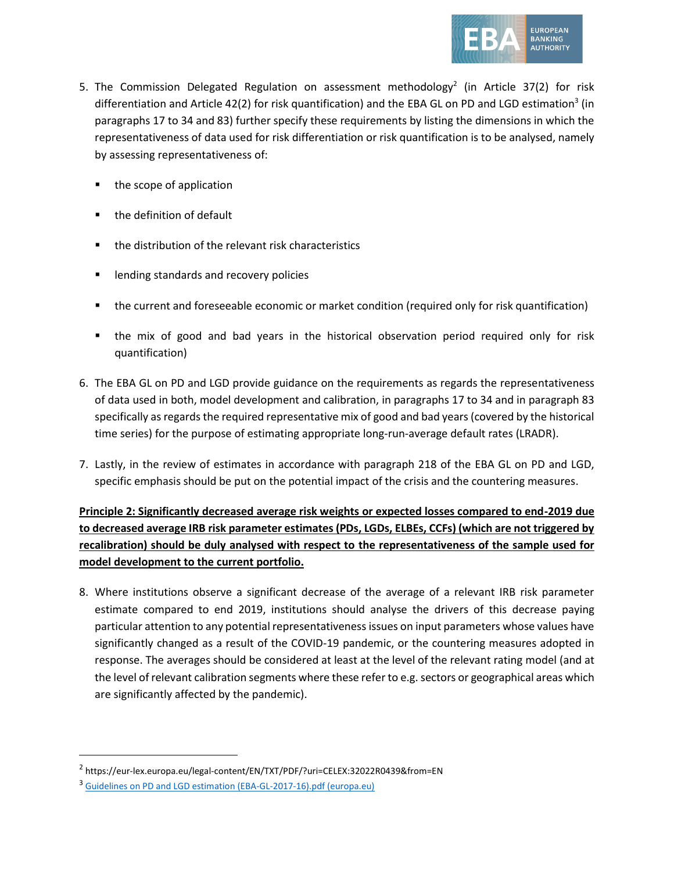

- 5. The Commission Delegated Regulation on assessment methodology<sup>2</sup> (in Article 37(2) for risk differentiation and Article 42(2) for risk quantification) and the EBA GL on PD and LGD estimation<sup>3</sup> (in paragraphs 17 to 34 and 83) further specify these requirements by listing the dimensions in which the representativeness of data used for risk differentiation or risk quantification is to be analysed, namely by assessing representativeness of:
	- the scope of application
	- the definition of default
	- the distribution of the relevant risk characteristics
	- lending standards and recovery policies
	- the current and foreseeable economic or market condition (required only for risk quantification)
	- the mix of good and bad years in the historical observation period required only for risk quantification)
- 6. The EBA GL on PD and LGD provide guidance on the requirements as regards the representativeness of data used in both, model development and calibration, in paragraphs 17 to 34 and in paragraph 83 specifically as regards the required representative mix of good and bad years (covered by the historical time series) for the purpose of estimating appropriate long-run-average default rates (LRADR).
- 7. Lastly, in the review of estimates in accordance with paragraph 218 of the EBA GL on PD and LGD, specific emphasis should be put on the potential impact of the crisis and the countering measures.

**Principle 2: Significantly decreased average risk weights or expected losses compared to end-2019 due to decreased average IRB risk parameter estimates (PDs, LGDs, ELBEs, CCFs) (which are not triggered by recalibration) should be duly analysed with respect to the representativeness of the sample used for model development to the current portfolio.**

8. Where institutions observe a significant decrease of the average of a relevant IRB risk parameter estimate compared to end 2019, institutions should analyse the drivers of this decrease paying particular attention to any potential representativeness issues on input parameters whose values have significantly changed as a result of the COVID-19 pandemic, or the countering measures adopted in response. The averages should be considered at least at the level of the relevant rating model (and at the level of relevant calibration segments where these refer to e.g. sectors or geographical areas which are significantly affected by the pandemic).

<sup>2</sup> https://eur-lex.europa.eu/legal-content/EN/TXT/PDF/?uri=CELEX:32022R0439&from=EN

<sup>3</sup> [Guidelines on PD and LGD estimation \(EBA-GL-2017-16\).pdf \(europa.eu\)](https://www.eba.europa.eu/sites/default/documents/files/documents/10180/2033363/6b062012-45d6-4655-af04-801d26493ed0/Guidelines%20on%20PD%20and%20LGD%20estimation%20%28EBA-GL-2017-16%29.pdf?retry=1)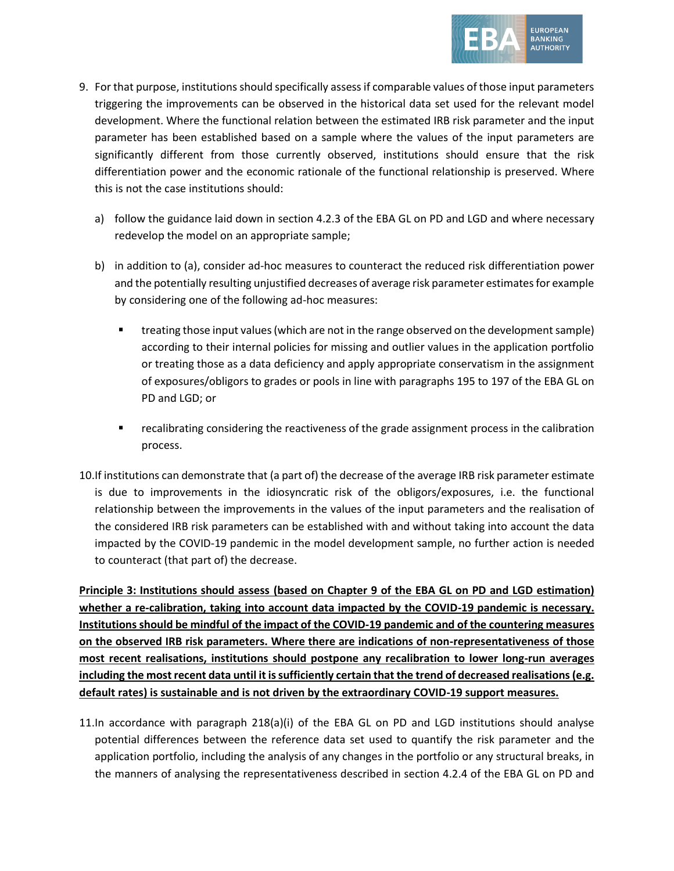

- 9. For that purpose, institutions should specifically assess if comparable values of those input parameters triggering the improvements can be observed in the historical data set used for the relevant model development. Where the functional relation between the estimated IRB risk parameter and the input parameter has been established based on a sample where the values of the input parameters are significantly different from those currently observed, institutions should ensure that the risk differentiation power and the economic rationale of the functional relationship is preserved. Where this is not the case institutions should:
	- a) follow the guidance laid down in section 4.2.3 of the EBA GL on PD and LGD and where necessary redevelop the model on an appropriate sample;
	- b) in addition to (a), consider ad-hoc measures to counteract the reduced risk differentiation power and the potentially resulting unjustified decreases of average risk parameter estimates for example by considering one of the following ad-hoc measures:
		- treating those input values (which are not in the range observed on the development sample) according to their internal policies for missing and outlier values in the application portfolio or treating those as a data deficiency and apply appropriate conservatism in the assignment of exposures/obligors to grades or pools in line with paragraphs 195 to 197 of the EBA GL on PD and LGD; or
		- **•** recalibrating considering the reactiveness of the grade assignment process in the calibration process.
- 10.If institutions can demonstrate that (a part of) the decrease of the average IRB risk parameter estimate is due to improvements in the idiosyncratic risk of the obligors/exposures, i.e. the functional relationship between the improvements in the values of the input parameters and the realisation of the considered IRB risk parameters can be established with and without taking into account the data impacted by the COVID-19 pandemic in the model development sample, no further action is needed to counteract (that part of) the decrease.

**Principle 3: Institutions should assess (based on Chapter 9 of the EBA GL on PD and LGD estimation) whether a re-calibration, taking into account data impacted by the COVID-19 pandemic is necessary. Institutions should be mindful of the impact of the COVID-19 pandemic and of the countering measures on the observed IRB risk parameters. Where there are indications of non-representativeness of those most recent realisations, institutions should postpone any recalibration to lower long-run averages including the most recent data until it is sufficiently certain that the trend of decreased realisations (e.g. default rates) is sustainable and is not driven by the extraordinary COVID-19 support measures.** 

11.In accordance with paragraph 218(a)(i) of the EBA GL on PD and LGD institutions should analyse potential differences between the reference data set used to quantify the risk parameter and the application portfolio, including the analysis of any changes in the portfolio or any structural breaks, in the manners of analysing the representativeness described in section 4.2.4 of the EBA GL on PD and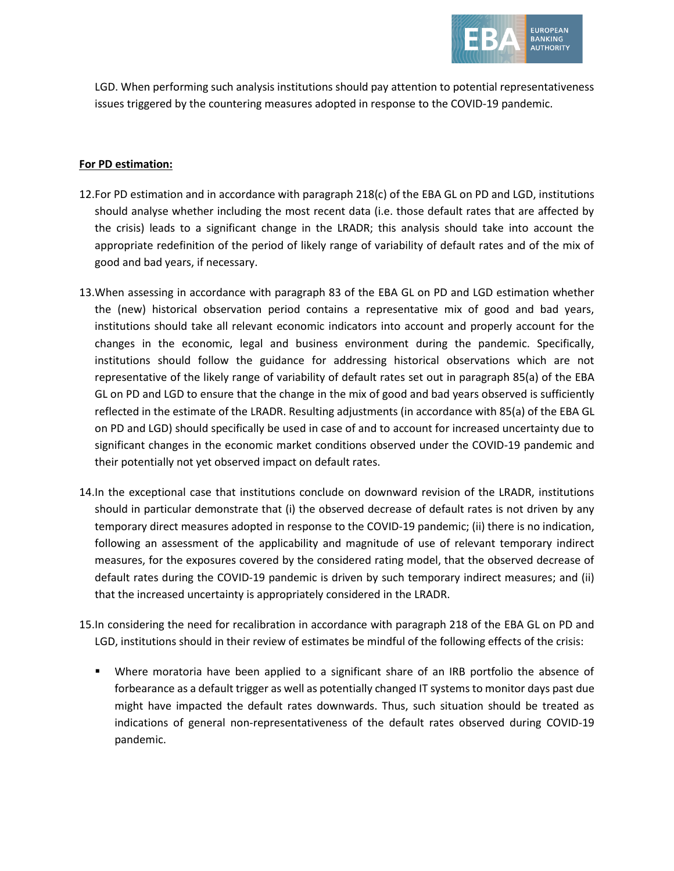

LGD. When performing such analysis institutions should pay attention to potential representativeness issues triggered by the countering measures adopted in response to the COVID-19 pandemic.

#### **For PD estimation:**

- 12.For PD estimation and in accordance with paragraph 218(c) of the EBA GL on PD and LGD, institutions should analyse whether including the most recent data (i.e. those default rates that are affected by the crisis) leads to a significant change in the LRADR; this analysis should take into account the appropriate redefinition of the period of likely range of variability of default rates and of the mix of good and bad years, if necessary.
- 13.When assessing in accordance with paragraph 83 of the EBA GL on PD and LGD estimation whether the (new) historical observation period contains a representative mix of good and bad years, institutions should take all relevant economic indicators into account and properly account for the changes in the economic, legal and business environment during the pandemic. Specifically, institutions should follow the guidance for addressing historical observations which are not representative of the likely range of variability of default rates set out in paragraph 85(a) of the EBA GL on PD and LGD to ensure that the change in the mix of good and bad years observed is sufficiently reflected in the estimate of the LRADR. Resulting adjustments (in accordance with 85(a) of the EBA GL on PD and LGD) should specifically be used in case of and to account for increased uncertainty due to significant changes in the economic market conditions observed under the COVID-19 pandemic and their potentially not yet observed impact on default rates.
- 14.In the exceptional case that institutions conclude on downward revision of the LRADR, institutions should in particular demonstrate that (i) the observed decrease of default rates is not driven by any temporary direct measures adopted in response to the COVID-19 pandemic; (ii) there is no indication, following an assessment of the applicability and magnitude of use of relevant temporary indirect measures, for the exposures covered by the considered rating model, that the observed decrease of default rates during the COVID-19 pandemic is driven by such temporary indirect measures; and (ii) that the increased uncertainty is appropriately considered in the LRADR.
- 15.In considering the need for recalibration in accordance with paragraph 218 of the EBA GL on PD and LGD, institutions should in their review of estimates be mindful of the following effects of the crisis:
	- Where moratoria have been applied to a significant share of an IRB portfolio the absence of forbearance as a default trigger as well as potentially changed IT systems to monitor days past due might have impacted the default rates downwards. Thus, such situation should be treated as indications of general non-representativeness of the default rates observed during COVID-19 pandemic.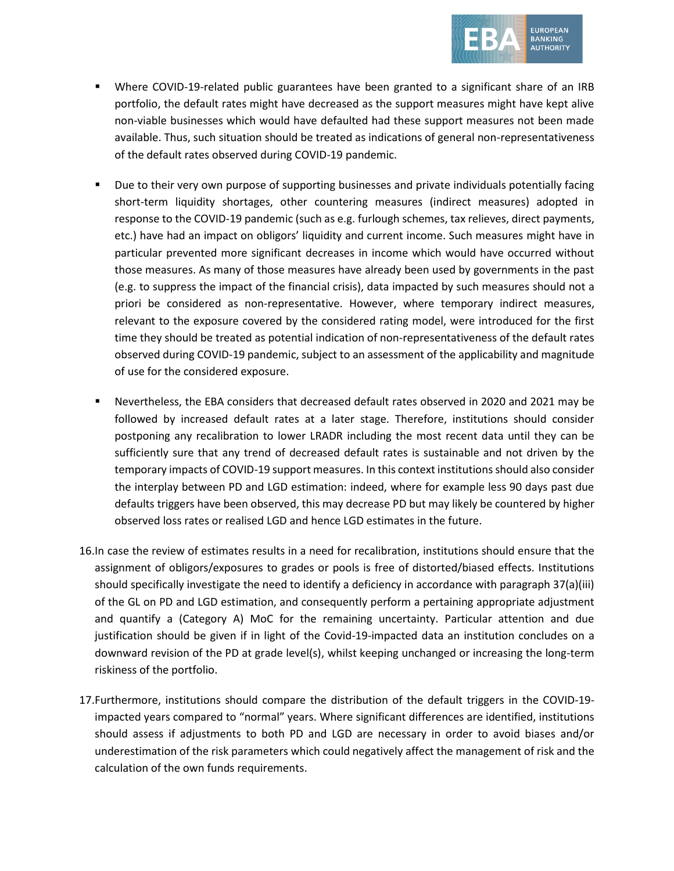

- Where COVID-19-related public guarantees have been granted to a significant share of an IRB portfolio, the default rates might have decreased as the support measures might have kept alive non-viable businesses which would have defaulted had these support measures not been made available. Thus, such situation should be treated as indications of general non-representativeness of the default rates observed during COVID-19 pandemic.
- Due to their very own purpose of supporting businesses and private individuals potentially facing short-term liquidity shortages, other countering measures (indirect measures) adopted in response to the COVID-19 pandemic (such as e.g. furlough schemes, tax relieves, direct payments, etc.) have had an impact on obligors' liquidity and current income. Such measures might have in particular prevented more significant decreases in income which would have occurred without those measures. As many of those measures have already been used by governments in the past (e.g. to suppress the impact of the financial crisis), data impacted by such measures should not a priori be considered as non-representative. However, where temporary indirect measures, relevant to the exposure covered by the considered rating model, were introduced for the first time they should be treated as potential indication of non-representativeness of the default rates observed during COVID-19 pandemic, subject to an assessment of the applicability and magnitude of use for the considered exposure.
- Nevertheless, the EBA considers that decreased default rates observed in 2020 and 2021 may be followed by increased default rates at a later stage. Therefore, institutions should consider postponing any recalibration to lower LRADR including the most recent data until they can be sufficiently sure that any trend of decreased default rates is sustainable and not driven by the temporary impacts of COVID-19 support measures. In this context institutions should also consider the interplay between PD and LGD estimation: indeed, where for example less 90 days past due defaults triggers have been observed, this may decrease PD but may likely be countered by higher observed loss rates or realised LGD and hence LGD estimates in the future.
- 16.In case the review of estimates results in a need for recalibration, institutions should ensure that the assignment of obligors/exposures to grades or pools is free of distorted/biased effects. Institutions should specifically investigate the need to identify a deficiency in accordance with paragraph 37(a)(iii) of the GL on PD and LGD estimation, and consequently perform a pertaining appropriate adjustment and quantify a (Category A) MoC for the remaining uncertainty. Particular attention and due justification should be given if in light of the Covid-19-impacted data an institution concludes on a downward revision of the PD at grade level(s), whilst keeping unchanged or increasing the long-term riskiness of the portfolio.
- 17.Furthermore, institutions should compare the distribution of the default triggers in the COVID-19 impacted years compared to "normal" years. Where significant differences are identified, institutions should assess if adjustments to both PD and LGD are necessary in order to avoid biases and/or underestimation of the risk parameters which could negatively affect the management of risk and the calculation of the own funds requirements.